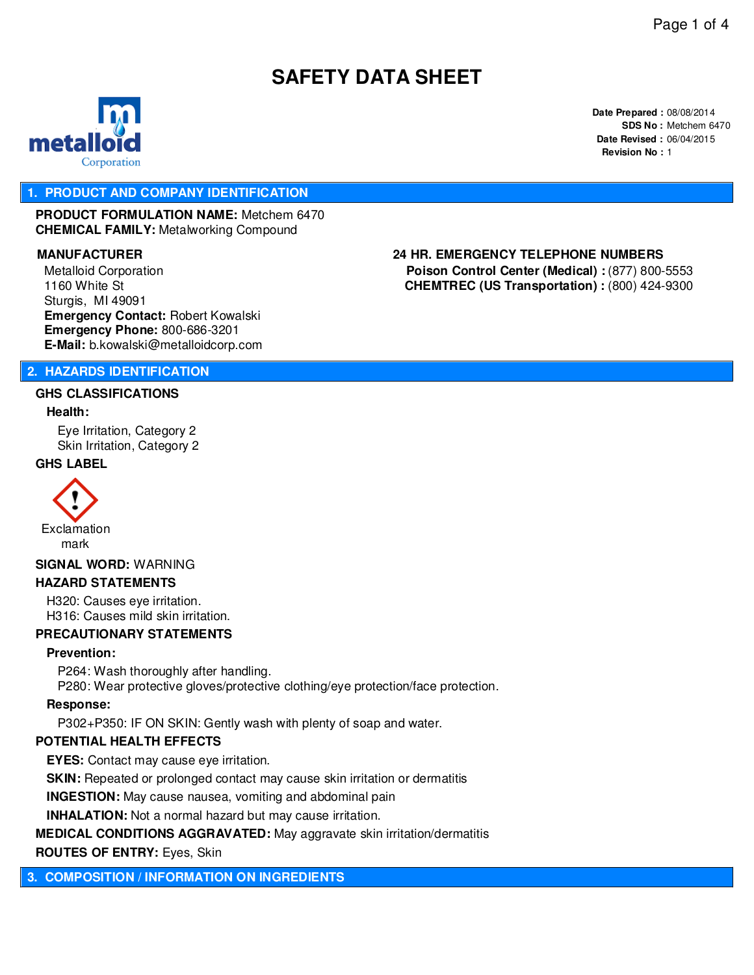# **SAFETY DATA SHEET**



**Date Prepared :** 08/08/2014 **SDS No :** Metchem 6470 **Date Revised :** 06/04/2015 **Revision No :** 1

#### **1. PRODUCT AND COMPANY IDENTIFICATION**

**PRODUCT FORMULATION NAME:** Metchem 6470 **CHEMICAL FAMILY:** Metalworking Compound

Metalloid Corporation 1160 White St Sturgis, MI 49091 **Emergency Contact:** Robert Kowalski **Emergency Phone:** 800-686-3201 **E-Mail:** b.kowalski@metalloidcorp.com

# **MANUFACTURER 24 HR. EMERGENCY TELEPHONE NUMBERS**

**Poison Control Center (Medical) :** (877) 800-5553 **CHEMTREC (US Transportation) :** (800) 424-9300

#### **2. HAZARDS IDENTIFICATION**

#### **GHS CLASSIFICATIONS**

#### **Health:**

Eye Irritation, Category 2 Skin Irritation, Category 2

#### **GHS LABEL**



mark

# **SIGNAL WORD:** WARNING

#### **HAZARD STATEMENTS**

H320: Causes eye irritation. H316: Causes mild skin irritation.

#### **PRECAUTIONARY STATEMENTS**

#### **Prevention:**

P264: Wash thoroughly after handling. P280: Wear protective gloves/protective clothing/eye protection/face protection.

#### **Response:**

P302+P350: IF ON SKIN: Gently wash with plenty of soap and water.

#### **POTENTIAL HEALTH EFFECTS**

**EYES:** Contact may cause eye irritation.

**SKIN:** Repeated or prolonged contact may cause skin irritation or dermatitis

**INGESTION:** May cause nausea, vomiting and abdominal pain

**INHALATION:** Not a normal hazard but may cause irritation.

#### **MEDICAL CONDITIONS AGGRAVATED:** May aggravate skin irritation/dermatitis

**ROUTES OF ENTRY:** Eyes, Skin

**3. COMPOSITION / INFORMATION ON INGREDIENTS**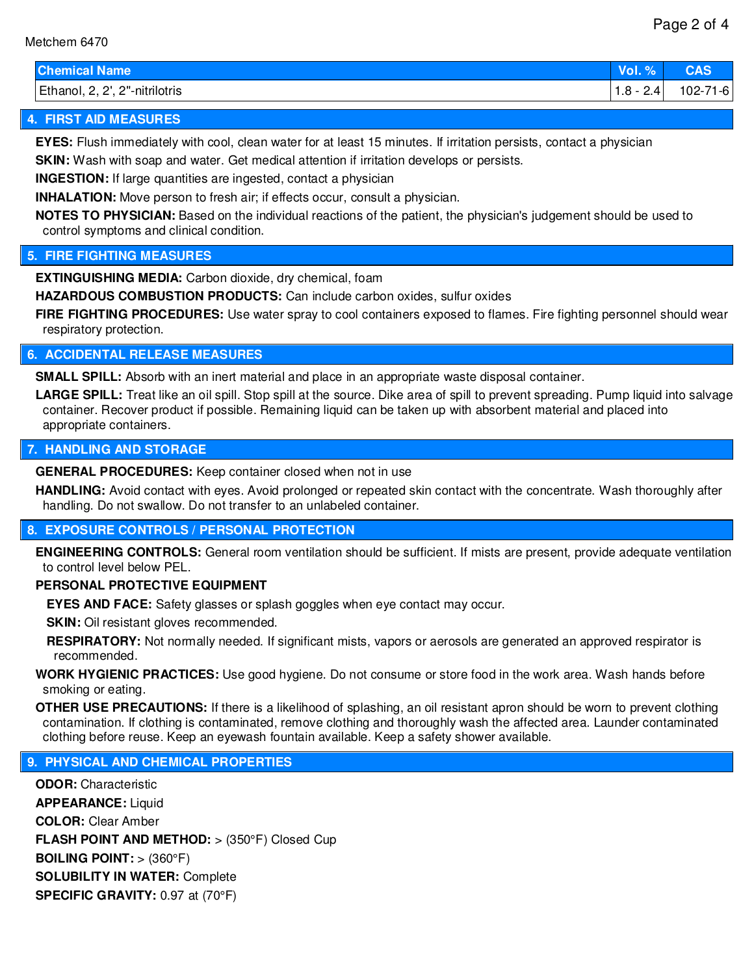| hemical Name          | $\%$<br>Vol. % | <b>CAC</b><br>JAJ |
|-----------------------|----------------|-------------------|
| 2, 2', 2"-nitrilotris | 2.4            | $102 - 7$         |
| Ethanol, 2,           | $1.8 - 7$      | 71-61             |

## **4. FIRST AID MEASURES**

**EYES:** Flush immediately with cool, clean water for at least 15 minutes. If irritation persists, contact a physician

**SKIN:** Wash with soap and water. Get medical attention if irritation develops or persists.

**INGESTION:** If large quantities are ingested, contact a physician

**INHALATION:** Move person to fresh air; if effects occur, consult a physician.

**NOTES TO PHYSICIAN:** Based on the individual reactions of the patient, the physician's judgement should be used to control symptoms and clinical condition.

### **5. FIRE FIGHTING MEASURES**

**EXTINGUISHING MEDIA:** Carbon dioxide, dry chemical, foam

**HAZARDOUS COMBUSTION PRODUCTS:** Can include carbon oxides, sulfur oxides

**FIRE FIGHTING PROCEDURES:** Use water spray to cool containers exposed to flames. Fire fighting personnel should wear respiratory protection.

#### **6. ACCIDENTAL RELEASE MEASURES**

**SMALL SPILL:** Absorb with an inert material and place in an appropriate waste disposal container.

LARGE SPILL: Treat like an oil spill. Stop spill at the source. Dike area of spill to prevent spreading. Pump liquid into salvage container. Recover product if possible. Remaining liquid can be taken up with absorbent material and placed into appropriate containers.

#### **7. HANDLING AND STORAGE**

**GENERAL PROCEDURES:** Keep container closed when not in use

**HANDLING:** Avoid contact with eyes. Avoid prolonged or repeated skin contact with the concentrate. Wash thoroughly after handling. Do not swallow. Do not transfer to an unlabeled container.

#### **8. EXPOSURE CONTROLS / PERSONAL PROTECTION**

**ENGINEERING CONTROLS:** General room ventilation should be sufficient. If mists are present, provide adequate ventilation to control level below PEL.

#### **PERSONAL PROTECTIVE EQUIPMENT**

**EYES AND FACE:** Safety glasses or splash goggles when eye contact may occur.

**SKIN:** Oil resistant gloves recommended.

**RESPIRATORY:** Not normally needed. If significant mists, vapors or aerosols are generated an approved respirator is recommended.

**WORK HYGIENIC PRACTICES:** Use good hygiene. Do not consume or store food in the work area. Wash hands before smoking or eating.

**OTHER USE PRECAUTIONS:** If there is a likelihood of splashing, an oil resistant apron should be worn to prevent clothing contamination. If clothing is contaminated, remove clothing and thoroughly wash the affected area. Launder contaminated clothing before reuse. Keep an eyewash fountain available. Keep a safety shower available.

### **9. PHYSICAL AND CHEMICAL PROPERTIES**

**ODOR:** Characteristic **APPEARANCE:** Liquid **COLOR:** Clear Amber **FLASH POINT AND METHOD:** > (350°F) Closed Cup **BOILING POINT:** > (360°F) **SOLUBILITY IN WATER:** Complete **SPECIFIC GRAVITY:** 0.97 at (70°F)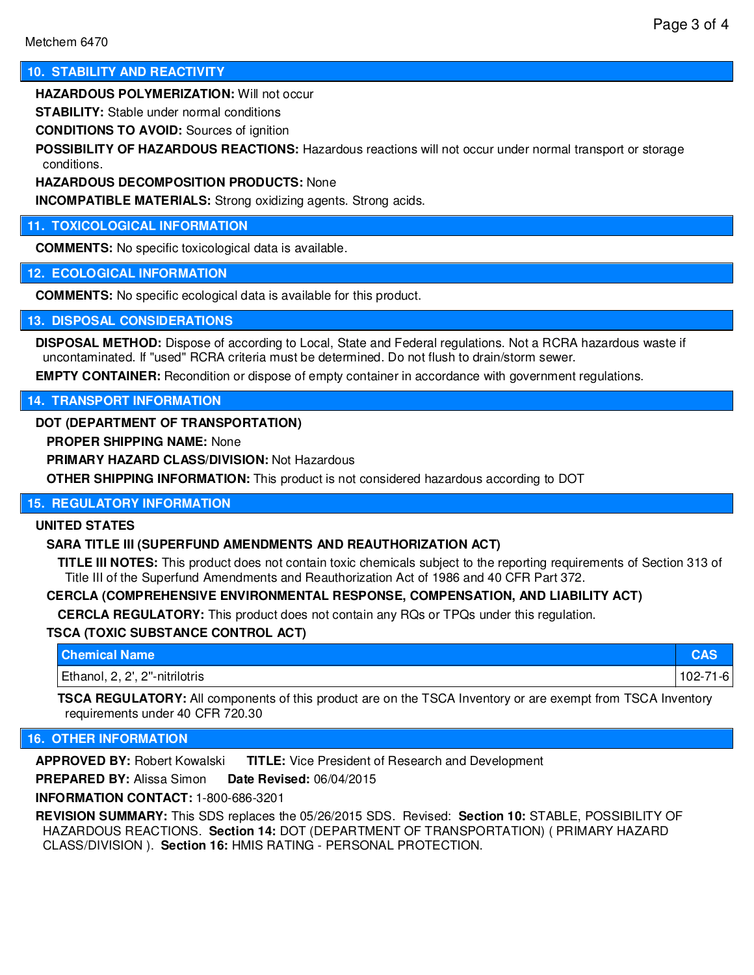#### **10. STABILITY AND REACTIVITY**

**HAZARDOUS POLYMERIZATION:** Will not occur

**STABILITY:** Stable under normal conditions

**CONDITIONS TO AVOID:** Sources of ignition

**POSSIBILITY OF HAZARDOUS REACTIONS:** Hazardous reactions will not occur under normal transport or storage conditions.

#### **HAZARDOUS DECOMPOSITION PRODUCTS:** None

**INCOMPATIBLE MATERIALS:** Strong oxidizing agents. Strong acids.

#### **11. TOXICOLOGICAL INFORMATION**

**COMMENTS:** No specific toxicological data is available.

#### **12. ECOLOGICAL INFORMATION**

**COMMENTS:** No specific ecological data is available for this product.

#### **13. DISPOSAL CONSIDERATIONS**

**DISPOSAL METHOD:** Dispose of according to Local, State and Federal regulations. Not a RCRA hazardous waste if uncontaminated. If "used" RCRA criteria must be determined. Do not flush to drain/storm sewer.

**EMPTY CONTAINER:** Recondition or dispose of empty container in accordance with government regulations.

#### **14. TRANSPORT INFORMATION**

#### **DOT (DEPARTMENT OF TRANSPORTATION)**

**PROPER SHIPPING NAME:** None

**PRIMARY HAZARD CLASS/DIVISION:** Not Hazardous

**OTHER SHIPPING INFORMATION:** This product is not considered hazardous according to DOT

#### **15. REGULATORY INFORMATION**

#### **UNITED STATES**

#### **SARA TITLE III (SUPERFUND AMENDMENTS AND REAUTHORIZATION ACT)**

**TITLE III NOTES:** This product does not contain toxic chemicals subject to the reporting requirements of Section 313 of Title III of the Superfund Amendments and Reauthorization Act of 1986 and 40 CFR Part 372.

#### **CERCLA (COMPREHENSIVE ENVIRONMENTAL RESPONSE, COMPENSATION, AND LIABILITY ACT)**

**CERCLA REGULATORY:** This product does not contain any RQs or TPQs under this regulation.

#### **TSCA (TOXIC SUBSTANCE CONTROL ACT)**

| <b>Chemical Name</b>                   |            |
|----------------------------------------|------------|
| Ethanol, 2,<br>. 2, 2', 2"-nitrilotris | 1 U 4<br>ີ |

**TSCA REGULATORY:** All components of this product are on the TSCA Inventory or are exempt from TSCA Inventory requirements under 40 CFR 720.30

#### **16. OTHER INFORMATION**

**APPROVED BY:** Robert Kowalski **TITLE:** Vice President of Research and Development

**PREPARED BY:** Alissa Simon **Date Revised:** 06/04/2015

**INFORMATION CONTACT:** 1-800-686-3201

**REVISION SUMMARY:** This SDS replaces the 05/26/2015 SDS. Revised: **Section 10:** STABLE, POSSIBILITY OF HAZARDOUS REACTIONS. **Section 14:** DOT (DEPARTMENT OF TRANSPORTATION) ( PRIMARY HAZARD CLASS/DIVISION ). **Section 16:** HMIS RATING - PERSONAL PROTECTION.